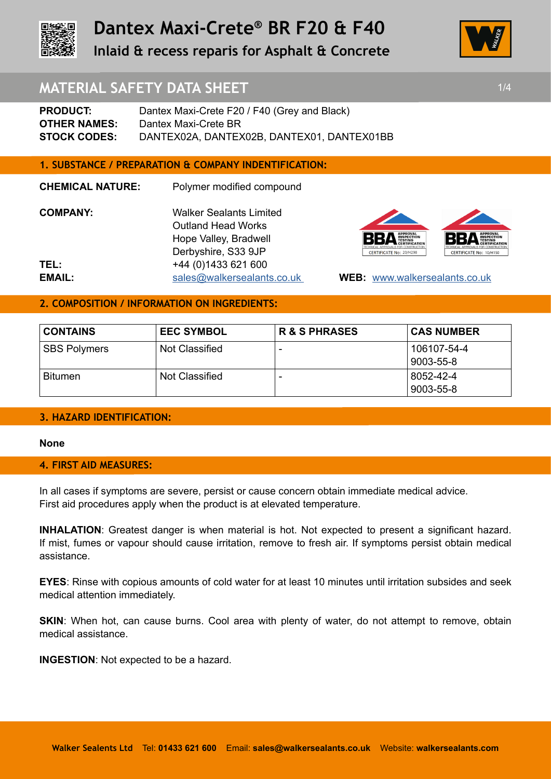

# **Dantex Maxi-Crete® BR F20 & F40**

**Inlaid & recess reparis for Asphalt & Concrete** 



### **MATERIAL SAFETY DATA SHEET 1/4 1/4**

**PRODUCT:** Dantex Maxi-Crete F20 / F40 (Grey and Black) **OTHER NAMES:** Dantex Maxi-Crete BR **STOCK CODES:** DANTEX02A, DANTEX02B, DANTEX01, DANTEX01BB

### **1. SUBSTANCE / PREPARATION & COMPANY INDENTIFICATION:**

**CHEMICAL NATURE:** Polymer modified compound **COMPANY:** Walker Sealants Limited Outland Head Works Hope Valley, Bradwell Derbyshire, S33 9JP **TEL:** +44 (0)1433 621 600 **EMAIL:** sales@walkersealants.co.uk **WEB:** www.walkersealants.co.uk



### **2. COMPOSITION / INFORMATION ON INGREDIENTS:**

| <b>CONTAINS</b>     | <b>EEC SYMBOL</b> | <b>R &amp; S PHRASES</b> | <b>CAS NUMBER</b> |
|---------------------|-------------------|--------------------------|-------------------|
| <b>SBS Polymers</b> | Not Classified    | $\overline{\phantom{0}}$ | 106107-54-4       |
|                     |                   |                          | 9003-55-8         |
| <b>Bitumen</b>      | Not Classified    |                          | 8052-42-4         |
|                     |                   |                          | 9003-55-8         |

### **3. HAZARD IDENTIFICATION:**

### **None**

### **4. FIRST AID MEASURES:**

In all cases if symptoms are severe, persist or cause concern obtain immediate medical advice. First aid procedures apply when the product is at elevated temperature.

**INHALATION**: Greatest danger is when material is hot. Not expected to present a significant hazard. If mist, fumes or vapour should cause irritation, remove to fresh air. If symptoms persist obtain medical assistance.

**EYES**: Rinse with copious amounts of cold water for at least 10 minutes until irritation subsides and seek medical attention immediately.

**SKIN:** When hot, can cause burns. Cool area with plenty of water, do not attempt to remove, obtain medical assistance.

**INGESTION**: Not expected to be a hazard.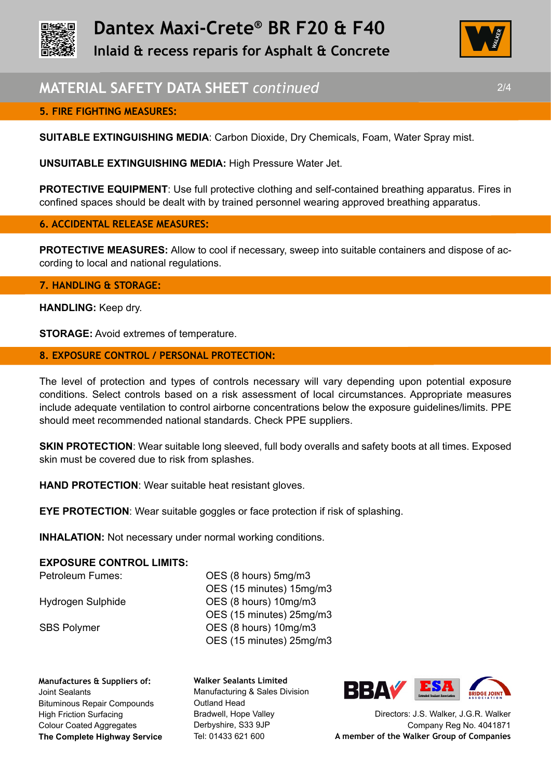



### **MATERIAL SAFETY DATA SHEET** *continued* 2/4

### **5. FIRE FIGHTING MEASURES:**

**SUITABLE EXTINGUISHING MEDIA**: Carbon Dioxide, Dry Chemicals, Foam, Water Spray mist.

**UNSUITABLE EXTINGUISHING MEDIA:** High Pressure Water Jet.

**PROTECTIVE EQUIPMENT**: Use full protective clothing and self-contained breathing apparatus. Fires in confined spaces should be dealt with by trained personnel wearing approved breathing apparatus.

### **6. ACCIDENTAL RELEASE MEASURES:**

**PROTECTIVE MEASURES:** Allow to cool if necessary, sweep into suitable containers and dispose of according to local and national regulations.

### **7. HANDLING & STORAGE:**

**HANDLING:** Keep dry.

**STORAGE:** Avoid extremes of temperature.

### **8. EXPOSURE CONTROL / PERSONAL PROTECTION:**

The level of protection and types of controls necessary will vary depending upon potential exposure conditions. Select controls based on a risk assessment of local circumstances. Appropriate measures include adequate ventilation to control airborne concentrations below the exposure guidelines/limits. PPE should meet recommended national standards. Check PPE suppliers.

**SKIN PROTECTION:** Wear suitable long sleeved, full body overalls and safety boots at all times. Exposed skin must be covered due to risk from splashes.

**HAND PROTECTION**: Wear suitable heat resistant gloves.

**EYE PROTECTION:** Wear suitable goggles or face protection if risk of splashing.

**INHALATION:** Not necessary under normal working conditions.

### **EXPOSURE CONTROL LIMITS:**

Petroleum Fumes: OES (8 hours) 5mg/m3 OES (15 minutes) 15mg/m3 Hydrogen Sulphide **OES** (8 hours) 10mg/m3 OES (15 minutes) 25mg/m3 SBS Polymer **OES** (8 hours) 10mg/m3 OES (15 minutes) 25mg/m3

**Manufactures & Suppliers of:**  Joint Sealants Bituminous Repair Compounds High Friction Surfacing Colour Coated Aggregates **The Complete Highway Service** **Walker Sealants Limited**  Manufacturing & Sales Division Outland Head Bradwell, Hope Valley Derbyshire, S33 9JP Tel: 01433 621 600



Directors: J.S. Walker, J.G.R. Walker Company Reg No. 4041871 **A member of the Walker Group of Companies**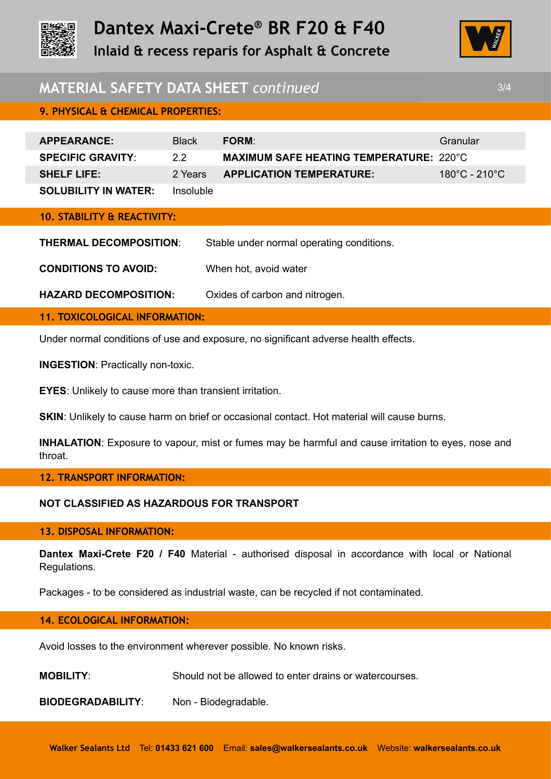

## **MATERIAL SAFETY DATA SHEET** *continued* 3/4

| <b>APPEARANCE:</b>          | <b>Black</b> | <b>FORM</b>                                    | Granular                                      |
|-----------------------------|--------------|------------------------------------------------|-----------------------------------------------|
| <b>SPECIFIC GRAVITY:</b>    | 22           | <b>MAXIMUM SAFE HEATING TEMPERATURE: 220°C</b> |                                               |
| <b>SHELF LIFE:</b>          | 2 Years      | <b>APPLICATION TEMPERATURE:</b>                | $180^{\circ}$ C - 210 $^{\circ}$ C $^{\circ}$ |
| <b>SOLUBILITY IN WATER:</b> | Insoluble    |                                                |                                               |

**10. STABILITY & REACTIVITY:**

**9. PHYSICAL & CHEMICAL PROPERTIES:** 

**THERMAL DECOMPOSITION**: Stable under normal operating conditions.

**CONDITIONS TO AVOID:** When hot, avoid water

**HAZARD DECOMPOSITION:** Oxides of carbon and nitrogen.

**11. TOXICOLOGICAL INFORMATION:**

Under normal conditions of use and exposure, no significant adverse health effects.

**INGESTION**: Practically non-toxic.

**EYES**: Unlikely to cause more than transient irritation.

**SKIN:** Unlikely to cause harm on brief or occasional contact. Hot material will cause burns.

**INHALATION**: Exposure to vapour, mist or fumes may be harmful and cause irritation to eyes, nose and throat.

### **12. TRANSPORT INFORMATION:**

### **NOT CLASSIFIED AS HAZARDOUS FOR TRANSPORT**

### **13. DISPOSAL INFORMATION:**

**Dantex Maxi-Crete F20 / F40** Material - authorised disposal in accordance with local or National Regulations.

Packages - to be considered as industrial waste, can be recycled if not contaminated.

### **14. ECOLOGICAL INFORMATION:**

Avoid losses to the environment wherever possible. No known risks.

**MOBILITY**: Should not be allowed to enter drains or watercourses.

**BIODEGRADABILITY**: Non - Biodegradable.